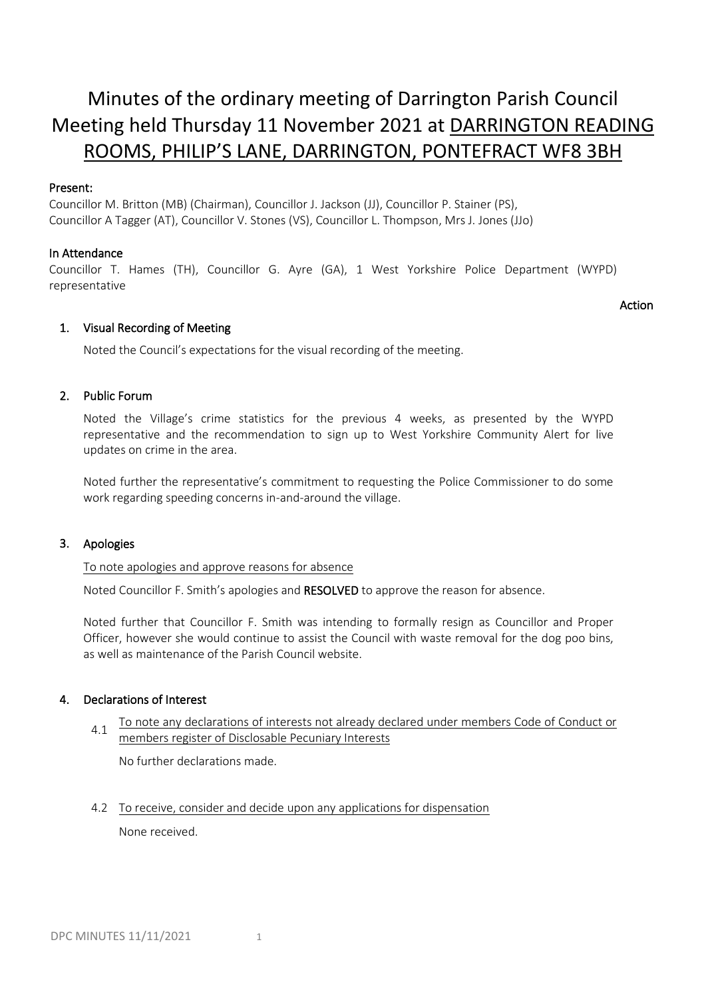# Minutes of the ordinary meeting of Darrington Parish Council Meeting held Thursday 11 November 2021 at DARRINGTON READING ROOMS, PHILIP'S LANE, DARRINGTON, PONTEFRACT WF8 3BH

## Present:

Councillor M. Britton (MB) (Chairman), Councillor J. Jackson (JJ), Councillor P. Stainer (PS), Councillor A Tagger (AT), Councillor V. Stones (VS), Councillor L. Thompson, Mrs J. Jones (JJo)

## In Attendance

Councillor T. Hames (TH), Councillor G. Ayre (GA), 1 West Yorkshire Police Department (WYPD) representative

## Action

## 1. Visual Recording of Meeting

Noted the Council's expectations for the visual recording of the meeting.

## 2. Public Forum

Noted the Village's crime statistics for the previous 4 weeks, as presented by the WYPD representative and the recommendation to sign up to West Yorkshire Community Alert for live updates on crime in the area.

Noted further the representative's commitment to requesting the Police Commissioner to do some work regarding speeding concerns in-and-around the village.

## 3. Apologies

To note apologies and approve reasons for absence

Noted Councillor F. Smith's apologies and RESOLVED to approve the reason for absence.

Noted further that Councillor F. Smith was intending to formally resign as Councillor and Proper Officer, however she would continue to assist the Council with waste removal for the dog poo bins, as well as maintenance of the Parish Council website.

## 4. Declarations of Interest

4.1 To note any declarations of interests not already declared under members Code of Conduct or members register of Disclosable Pecuniary Interests

No further declarations made.

4.2 To receive, consider and decide upon any applications for dispensation None received.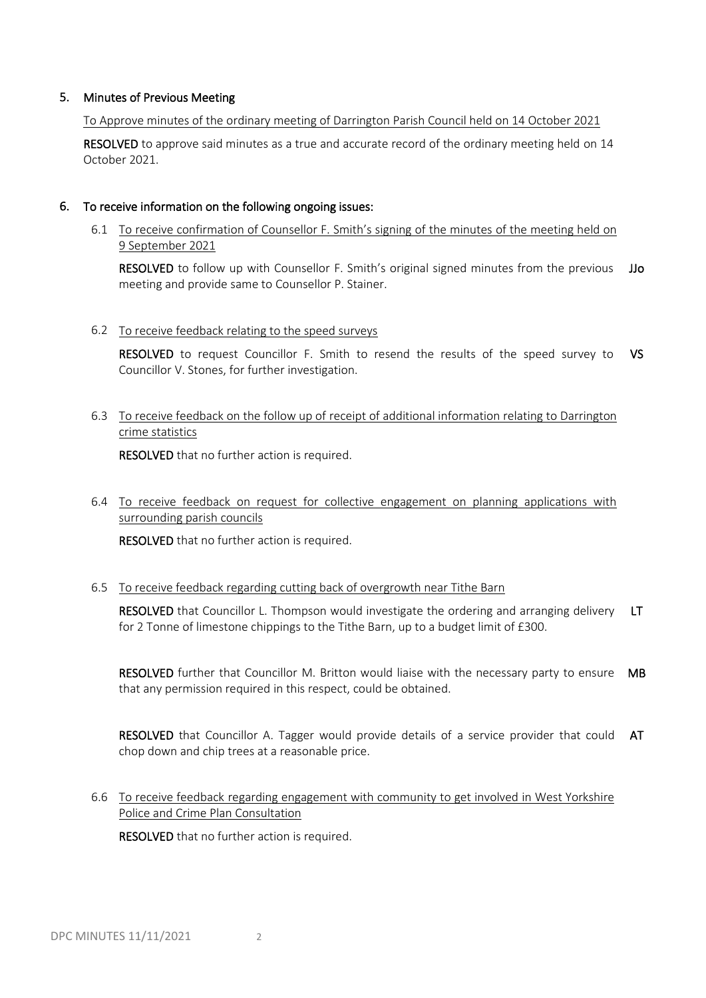## 5. Minutes of Previous Meeting

To Approve minutes of the ordinary meeting of Darrington Parish Council held on 14 October 2021

RESOLVED to approve said minutes as a true and accurate record of the ordinary meeting held on 14 October 2021.

## 6. To receive information on the following ongoing issues:

6.1 To receive confirmation of Counsellor F. Smith's signing of the minutes of the meeting held on 9 September 2021

RESOLVED to follow up with Counsellor F. Smith's original signed minutes from the previous JJo meeting and provide same to Counsellor P. Stainer.

## 6.2 To receive feedback relating to the speed surveys

RESOLVED to request Councillor F. Smith to resend the results of the speed survey to VS Councillor V. Stones, for further investigation.

## 6.3 To receive feedback on the follow up of receipt of additional information relating to Darrington crime statistics

RESOLVED that no further action is required.

## 6.4 To receive feedback on request for collective engagement on planning applications with surrounding parish councils

RESOLVED that no further action is required.

## 6.5 To receive feedback regarding cutting back of overgrowth near Tithe Barn

RESOLVED that Councillor L. Thompson would investigate the ordering and arranging delivery for 2 Tonne of limestone chippings to the Tithe Barn, up to a budget limit of £300. LT

RESOLVED further that Councillor M. Britton would liaise with the necessary party to ensure MB that any permission required in this respect, could be obtained.

RESOLVED that Councillor A. Tagger would provide details of a service provider that could AT chop down and chip trees at a reasonable price.

6.6 To receive feedback regarding engagement with community to get involved in West Yorkshire Police and Crime Plan Consultation

RESOLVED that no further action is required.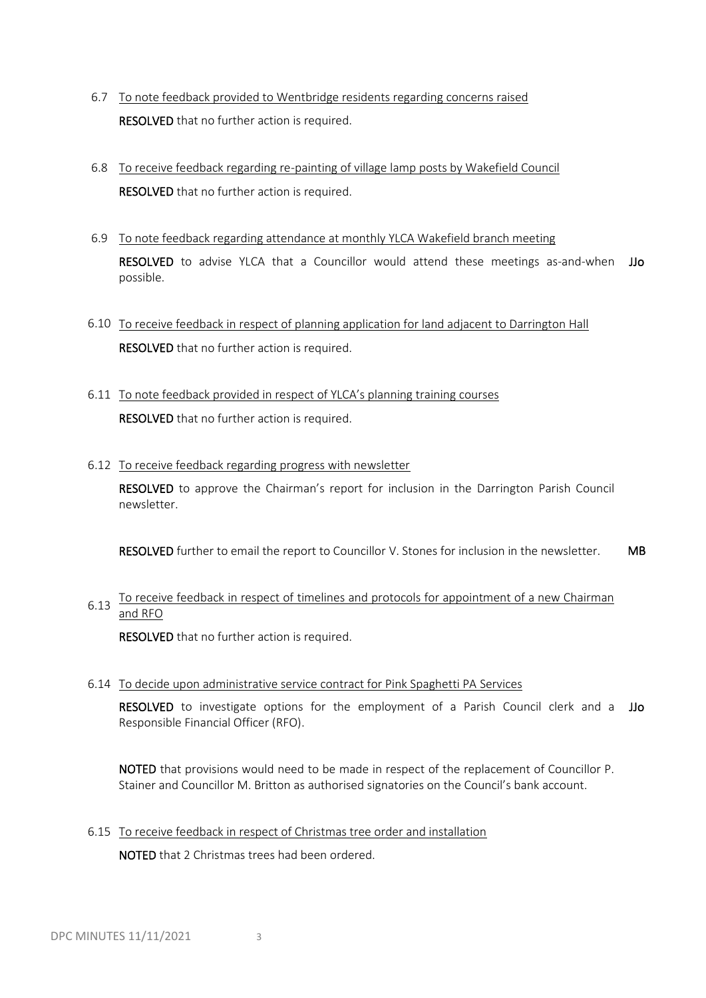- 6.7 To note feedback provided to Wentbridge residents regarding concerns raised RESOLVED that no further action is required.
- 6.8 To receive feedback regarding re-painting of village lamp posts by Wakefield Council RESOLVED that no further action is required.
- 6.9 To note feedback regarding attendance at monthly YLCA Wakefield branch meeting RESOLVED to advise YLCA that a Councillor would attend these meetings as-and-when JJo possible.
- 6.10 To receive feedback in respect of planning application for land adjacent to Darrington Hall RESOLVED that no further action is required.
- 6.11 To note feedback provided in respect of YLCA's planning training courses RESOLVED that no further action is required.
- 6.12 To receive feedback regarding progress with newsletter

RESOLVED to approve the Chairman's report for inclusion in the Darrington Parish Council newsletter.

RESOLVED further to email the report to Councillor V. Stones for inclusion in the newsletter. MB

## 6.13 To receive feedback in respect of timelines and protocols for appointment of a new Chairman and RFO

RESOLVED that no further action is required.

6.14 To decide upon administrative service contract for Pink Spaghetti PA Services

RESOLVED to investigate options for the employment of a Parish Council clerk and a JJo Responsible Financial Officer (RFO).

NOTED that provisions would need to be made in respect of the replacement of Councillor P. Stainer and Councillor M. Britton as authorised signatories on the Council's bank account.

6.15 To receive feedback in respect of Christmas tree order and installation

NOTED that 2 Christmas trees had been ordered.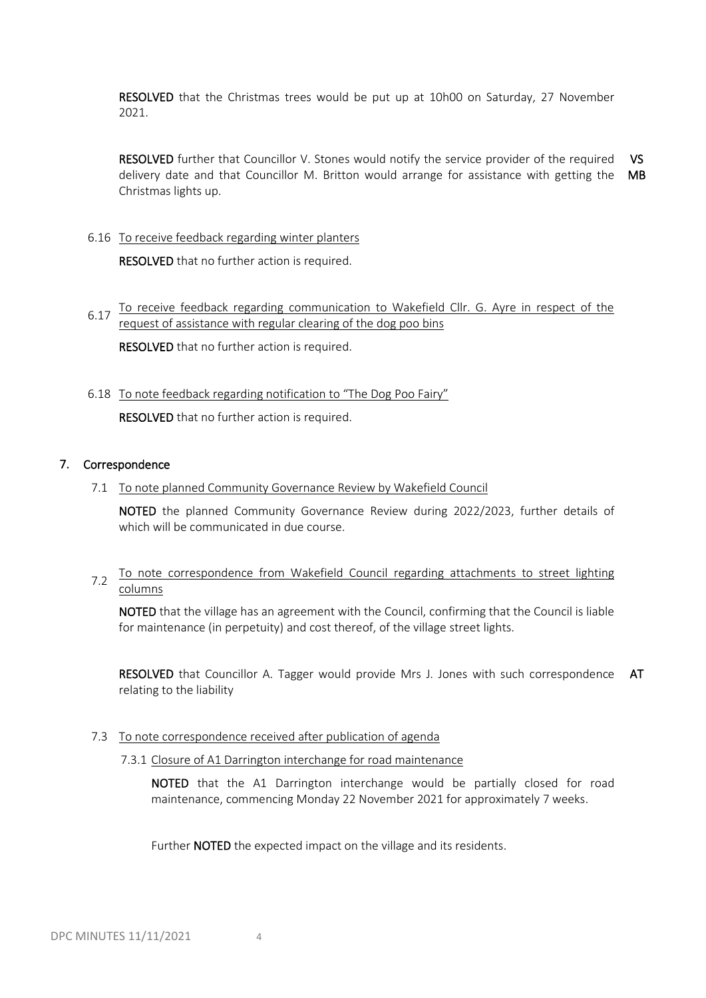RESOLVED that the Christmas trees would be put up at 10h00 on Saturday, 27 November 2021.

RESOLVED further that Councillor V. Stones would notify the service provider of the required delivery date and that Councillor M. Britton would arrange for assistance with getting the MB Christmas lights up. VS

6.16 To receive feedback regarding winter planters

RESOLVED that no further action is required.

- 6.17 To receive feedback regarding communication to Wakefield Cllr. G. Ayre in respect of the request of assistance with regular clearing of the dog poo bins RESOLVED that no further action is required.
- 6.18 To note feedback regarding notification to "The Dog Poo Fairy" RESOLVED that no further action is required.

## 7. Correspondence

7.1 To note planned Community Governance Review by Wakefield Council

NOTED the planned Community Governance Review during 2022/2023, further details of which will be communicated in due course.

7.2 To note correspondence from Wakefield Council regarding attachments to street lighting columns

NOTED that the village has an agreement with the Council, confirming that the Council is liable for maintenance (in perpetuity) and cost thereof, of the village street lights.

RESOLVED that Councillor A. Tagger would provide Mrs J. Jones with such correspondence AT relating to the liability

- 7.3 To note correspondence received after publication of agenda
	- 7.3.1 Closure of A1 Darrington interchange for road maintenance

NOTED that the A1 Darrington interchange would be partially closed for road maintenance, commencing Monday 22 November 2021 for approximately 7 weeks.

Further **NOTED** the expected impact on the village and its residents.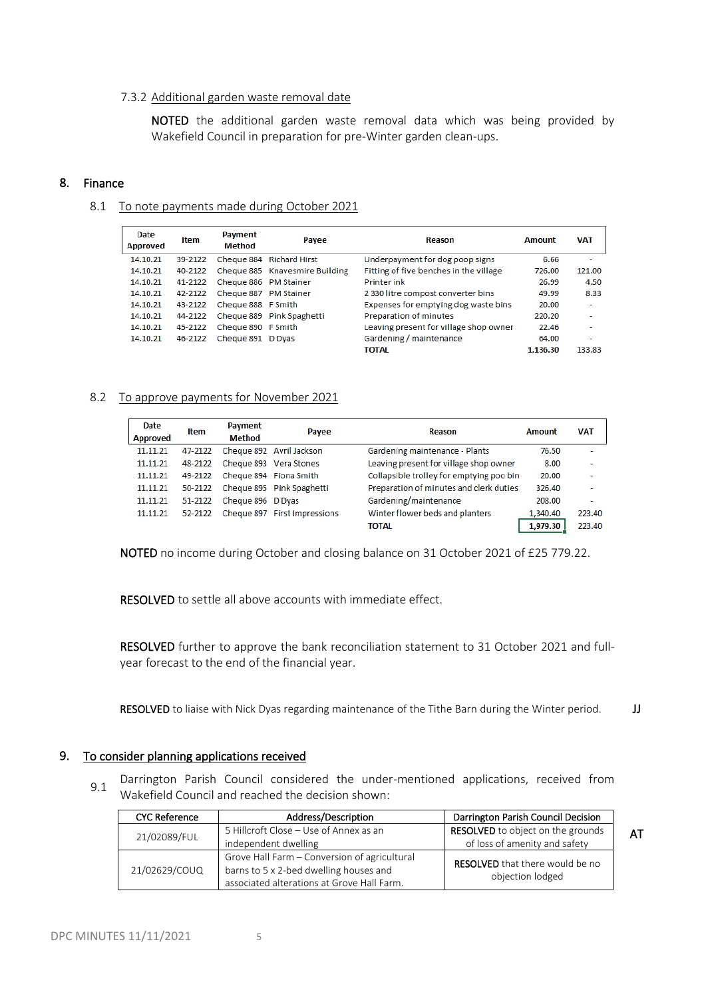#### 7.3.2 Additional garden waste removal date

NOTED the additional garden waste removal data which was being provided by Wakefield Council in preparation for pre-Winter garden clean-ups.

#### 8. Finance

#### 8.1 To note payments made during October 2021

| Date<br><b>Approved</b> | Item    | Payment<br><b>Method</b> | Payee                          | Reason                                 | Amount   | <b>VAT</b>               |
|-------------------------|---------|--------------------------|--------------------------------|----------------------------------------|----------|--------------------------|
| 14.10.21                | 39-2122 |                          | Cheque 884 Richard Hirst       | Underpayment for dog poop signs        | 6.66     | ۰                        |
| 14, 10, 21              | 40-2122 |                          | Cheque 885 Knavesmire Building | Fitting of five benches in the village | 726.00   | 121.00                   |
| 14.10.21                | 41-2122 | Cheque 886 PM Stainer    |                                | <b>Printer ink</b>                     | 26.99    | 4.50                     |
| 14.10.21                | 42-2122 | Cheque 887 PM Stainer    |                                | 2 330 litre compost converter bins     | 49.99    | 8.33                     |
| 14.10.21                | 43-2122 | Cheque 888 F Smith       |                                | Expenses for emptying dog waste bins   | 20.00    | $\overline{\phantom{a}}$ |
| 14.10.21                | 44-2122 |                          | Cheque 889 Pink Spaghetti      | Preparation of minutes                 | 220.20   |                          |
| 14.10.21                | 45-2122 | Cheque 890 F Smith       |                                | Leaving present for village shop owner | 22.46    | ۰                        |
| 14.10.21                | 46-2122 | Cheque 891 D Dyas        |                                | Gardening / maintenance                | 64.00    | ٠                        |
|                         |         |                          |                                | ΤΟΤΑΙ                                  | 1.136.30 | 133.83                   |

#### 8.2 To approve payments for November 2021

| Date<br><b>Approved</b> | <b>Item</b> | Payment<br><b>Method</b> | Payee                             | Reason                                   | <b>Amount</b> | <b>VAT</b>               |
|-------------------------|-------------|--------------------------|-----------------------------------|------------------------------------------|---------------|--------------------------|
| 11.11.21                | 47-2122     |                          | Cheque 892 Avril Jackson          | Gardening maintenance - Plants           | 76.50         | $\overline{\phantom{a}}$ |
| 11.11.21                | 48-2122     |                          | Cheque 893 Vera Stones            | Leaving present for village shop owner   | 8.00          | ٠                        |
| 11.11.21                | 49-2122     |                          | Cheque 894 Fiona Smith            | Collapsible trolley for emptying poo bin | 20.00         |                          |
| 11.11.21                |             |                          | 50-2122 Cheque 895 Pink Spaghetti | Preparation of minutes and clerk duties  | 326.40        |                          |
| 11.11.21                | 51-2122     | Cheque 896 D Dyas        |                                   | Gardening/maintenance                    | 208.00        | ۰                        |
| 11.11.21                | 52-2122     |                          | Cheque 897 First Impressions      | Winter flower beds and planters          | 1,340.40      | 223.40                   |
|                         |             |                          |                                   | TOTAL                                    | 1.979.30      | 223.40                   |

NOTED no income during October and closing balance on 31 October 2021 of £25 779.22.

RESOLVED to settle all above accounts with immediate effect.

RESOLVED further to approve the bank reconciliation statement to 31 October 2021 and fullyear forecast to the end of the financial year.

RESOLVED to liaise with Nick Dyas regarding maintenance of the Tithe Barn during the Winter period. **JJ** 

#### 9. To consider planning applications received

9.1 Darrington Parish Council considered the under-mentioned applications, received from Wakefield Council and reached the decision shown:

| <b>CYC Reference</b> | Address/Description                                                                | Darrington Parish Council Decision |  |
|----------------------|------------------------------------------------------------------------------------|------------------------------------|--|
| 21/02089/FUL         | 5 Hillcroft Close - Use of Annex as an<br><b>RESOLVED</b> to object on the grounds |                                    |  |
|                      | independent dwelling                                                               | of loss of amenity and safety      |  |
|                      | Grove Hall Farm - Conversion of agricultural                                       | RESOLVED that there would be no    |  |
| 21/02629/COUQ        | barns to 5 x 2-bed dwelling houses and                                             | objection lodged                   |  |
|                      | associated alterations at Grove Hall Farm.                                         |                                    |  |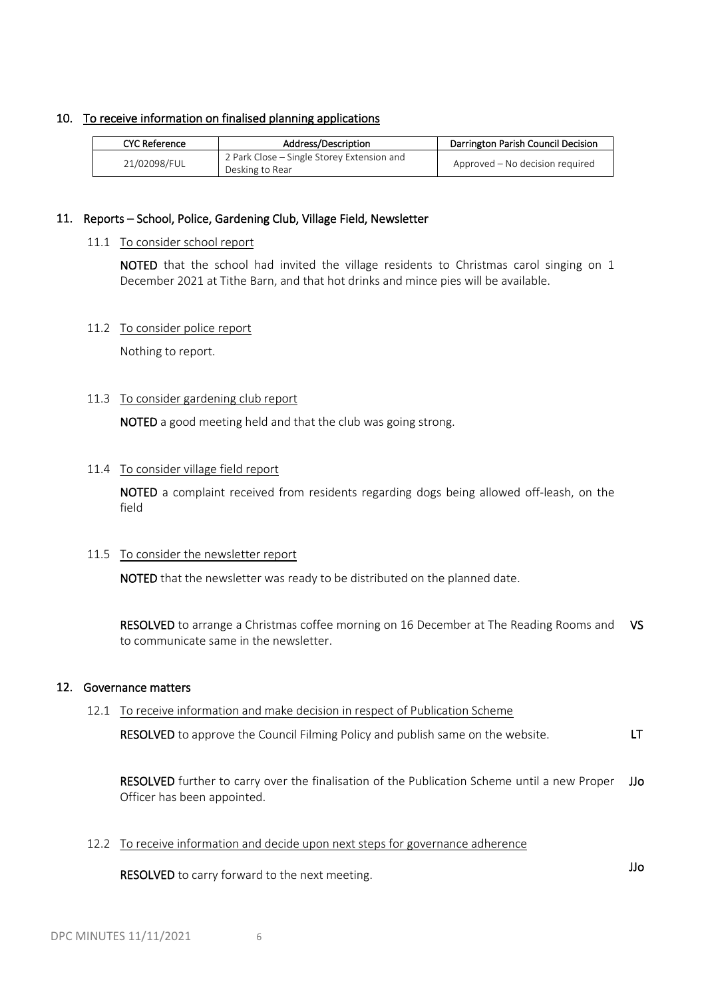## 10. To receive information on finalised planning applications

| <b>CYC Reference</b> | Address/Description                                           | Darrington Parish Council Decision |
|----------------------|---------------------------------------------------------------|------------------------------------|
| 21/02098/FUL         | 2 Park Close – Single Storey Extension and<br>Desking to Rear | Approved – No decision required    |

## 11. Reports – School, Police, Gardening Club, Village Field, Newsletter

#### 11.1 To consider school report

NOTED that the school had invited the village residents to Christmas carol singing on 1 December 2021 at Tithe Barn, and that hot drinks and mince pies will be available.

#### 11.2 To consider police report

Nothing to report.

## 11.3 To consider gardening club report

NOTED a good meeting held and that the club was going strong.

## 11.4 To consider village field report

NOTED a complaint received from residents regarding dogs being allowed off-leash, on the field

## 11.5 To consider the newsletter report

NOTED that the newsletter was ready to be distributed on the planned date.

RESOLVED to arrange a Christmas coffee morning on 16 December at The Reading Rooms and VS to communicate same in the newsletter.

## 12. Governance matters

## 12.1 To receive information and make decision in respect of Publication Scheme

RESOLVED to approve the Council Filming Policy and publish same on the website. LT

RESOLVED further to carry over the finalisation of the Publication Scheme until a new Proper Officer has been appointed. JJo

12.2 To receive information and decide upon next steps for governance adherence

RESOLVED to carry forward to the next meeting. The next meeting of the state of the state of the state of the next meeting.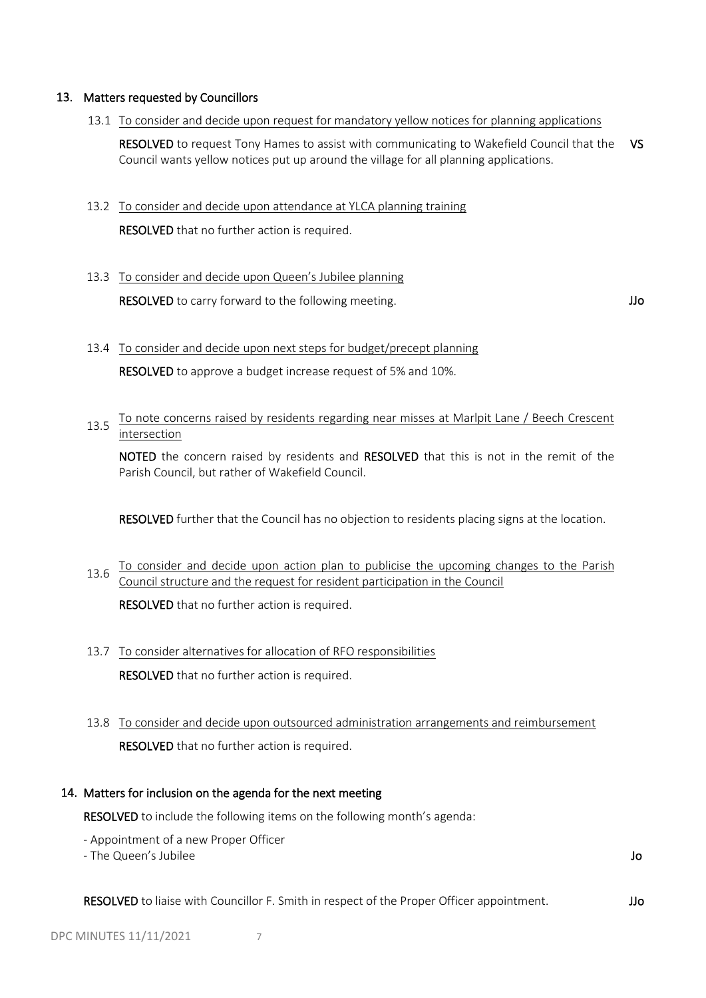## 13. Matters requested by Councillors

13.1 To consider and decide upon request for mandatory yellow notices for planning applications

RESOLVED to request Tony Hames to assist with communicating to Wakefield Council that the VS Council wants yellow notices put up around the village for all planning applications.

13.2 To consider and decide upon attendance at YLCA planning training

RESOLVED that no further action is required.

## 13.3 To consider and decide upon Queen's Jubilee planning

RESOLVED to carry forward to the following meeting. The same state of the state of the state of the state of the state of the state of the state of the state of the state of the state of the state of the state of the state

 13.4 To consider and decide upon next steps for budget/precept planning RESOLVED to approve a budget increase request of 5% and 10%.

## 13.5 To note concerns raised by residents regarding near misses at Marlpit Lane / Beech Crescent intersection

NOTED the concern raised by residents and RESOLVED that this is not in the remit of the Parish Council, but rather of Wakefield Council.

RESOLVED further that the Council has no objection to residents placing signs at the location.

- 13.6 To consider and decide upon action plan to publicise the upcoming changes to the Parish Council structure and the request for resident participation in the Council RESOLVED that no further action is required.
- 13.7 To consider alternatives for allocation of RFO responsibilities RESOLVED that no further action is required.
- 13.8 To consider and decide upon outsourced administration arrangements and reimbursement RESOLVED that no further action is required.

## 14. Matters for inclusion on the agenda for the next meeting

RESOLVED to include the following items on the following month's agenda:

- Appointment of a new Proper Officer
- The Queen's Jubilee

Jo

RESOLVED to liaise with Councillor F. Smith in respect of the Proper Officer appointment. JJo